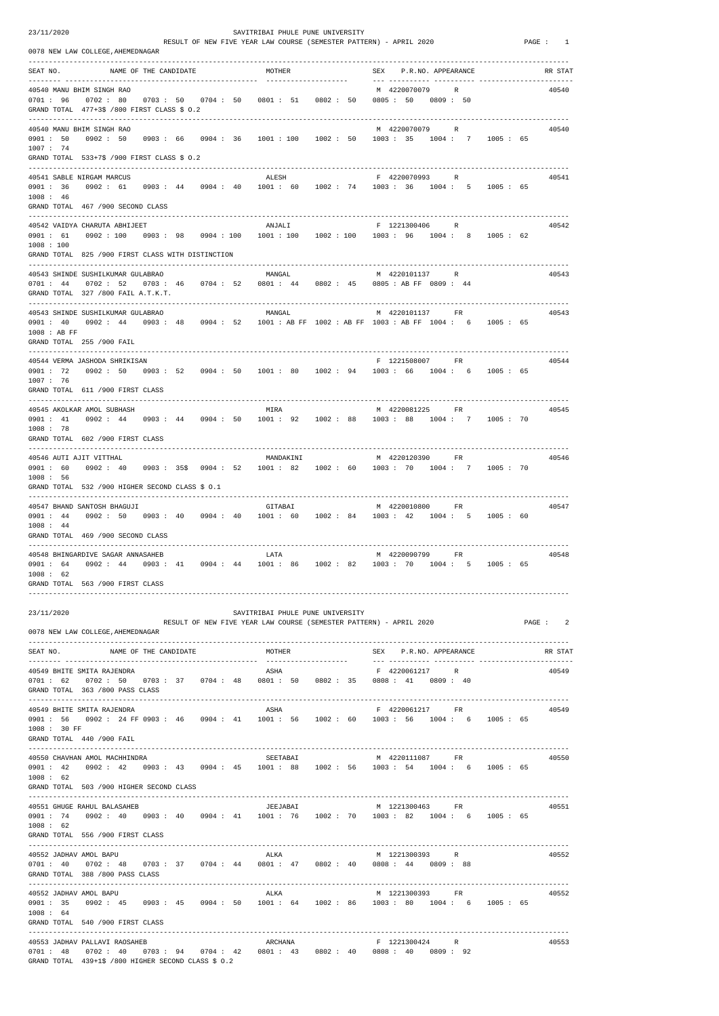23/11/2020 SAVITRIBAI PHULE PUNE UNIVERSITY

RESULT OF NEW FIVE YEAR LAW COURSE (SEMESTER PATTERN) - APRIL 2020 PAGE : 1

 ------------------------------------------------------------------------------------------------------------------------------------ 40550 CHAVHAN AMOL MACHHINDRA<br>10550 0901 : 42 0902 : 42 0903 : 43 0904 : 45 1001 : 88 1002 : 56 1003 : 54 1004 : 6 1005 : 65 0901 : 42 0902 : 42 0903 : 43 0904 : 45 1001 : 88 1002 : 56 1003 : 54

|                                                   | 0078 NEW LAW COLLEGE, AHEMEDNAGAR                                                                                                              |                       |                                  |                                                                                                             |          |
|---------------------------------------------------|------------------------------------------------------------------------------------------------------------------------------------------------|-----------------------|----------------------------------|-------------------------------------------------------------------------------------------------------------|----------|
| SEAT NO.                                          |                                                                                                                                                | NAME OF THE CANDIDATE | MOTHER                           | SEX P.R.NO. APPEARANCE                                                                                      | RR STAT  |
|                                                   | 40540 MANU BHIM SINGH RAO<br>$0701: 96$ $0702: 80$ $0703: 50$ $0704: 50$ $0801: 51$ $0802: 50$<br>GRAND TOTAL $477+35$ /800 FIRST CLASS \$ 0.2 |                       |                                  | M 4220070079 R<br>0805 : 50 0809 : 50                                                                       | 40540    |
| 1007 : 74                                         | 40540 MANU BHIM SINGH RAO                                                                                                                      |                       |                                  | M 4220070079 R<br>0901: 50 0902: 50 0903: 66 0904: 36 1001: 100 1002: 50 1003: 35 1004: 7 1005: 65          | 40540    |
|                                                   | GRAND TOTAL 533+7\$ /900 FIRST CLASS \$ 0.2                                                                                                    |                       |                                  |                                                                                                             |          |
| 1008 : 46                                         | 40541 SABLE NIRGAM MARCUS<br>GRAND TOTAL 467 /900 SECOND CLASS                                                                                 |                       | ALESH                            | F 4220070993 R<br>0901: 36 0902: 61 0903: 44 0904: 40 1001: 60 1002: 74 1003: 36 1004: 5 1005: 65           | 40541    |
|                                                   |                                                                                                                                                |                       |                                  |                                                                                                             |          |
| 0901 : 61<br>1008 : 100                           | 40542 VAIDYA CHARUTA ABHIJEET<br>0902 : 100                                                                                                    |                       | ANJALI                           | F 1221300406 R<br>$0.903: 98 0.904: 100 1001: 100 1002: 100 1003: 96 1004: 8 1005: 62$                      | 40542    |
|                                                   | GRAND TOTAL 825 /900 FIRST CLASS WITH DISTINCTION                                                                                              |                       |                                  |                                                                                                             |          |
|                                                   | 40543 SHINDE SUSHILKUMAR GULABRAO<br>GRAND TOTAL 327 /800 FAIL A.T.K.T.                                                                        |                       | MANGAL                           | M 4220101137 R<br>0701: 44 0702: 52 0703: 46 0704: 52 0801: 44 0802: 45 0805: AB FF 0809: 44                | 40543    |
| 1008 : AB FF                                      | 40543 SHINDE SUSHILKUMAR GULABRAO<br>GRAND TOTAL 255 /900 FAIL                                                                                 |                       | MANGAL                           | M 4220101137 FR<br>0901: 40 0902: 44 0903: 48 0904: 52 1001: AB FF 1002: AB FF 1003: AB FF 1004: 6 1005: 65 | 40543    |
| 1007 : 76                                         | 40544 VERMA JASHODA SHRIKISAN<br>GRAND TOTAL 611 /900 FIRST CLASS                                                                              |                       |                                  | F 1221508007<br>FR<br>0901: 72 0902: 50 0903: 52 0904: 50 1001: 80 1002: 94 1003: 66 1004: 6 1005: 65       | 40544    |
| 0901 : 41<br>1008: 78                             | 40545 AKOLKAR AMOL SUBHASH<br>GRAND TOTAL 602 /900 FIRST CLASS                                                                                 |                       | MIRA                             | M 4220081225<br>FR<br>0902: 44 0903: 44 0904: 50 1001: 92 1002: 88 1003: 88 1004: 7 1005: 70                | 40545    |
| 40546 AUTI AJIT VITTHAL<br>0901 : 60<br>1008 : 56 | GRAND TOTAL 532 /900 HIGHER SECOND CLASS \$ 0.1                                                                                                |                       | MANDAKINI                        | M 4220120390 FR<br>$0902: 40$ $0903: 355$ $0904: 52$ $1001: 82$ $1002: 60$ $1003: 70$ $1004: 7$ $1005: 70$  | 40546    |
| 0901 : 44<br>1008 : 44                            | 40547 BHAND SANTOSH BHAGUJI<br>GRAND TOTAL 469 /900 SECOND CLASS                                                                               |                       | GITABAI                          | M 4220010800 FR<br>0902: 50 0903: 40 0904: 40 1001: 60 1002: 84 1003: 42 1004: 5 1005: 60                   | 40547    |
| 1008 : 62                                         | 40548 BHINGARDIVE SAGAR ANNASAHEB<br>GRAND TOTAL 563 /900 FIRST CLASS                                                                          |                       | LATA                             | M 4220090799 FR<br>0901: 64 0902: 44 0903: 41 0904: 44 1001: 86 1002: 82 1003: 70 1004: 5 1005: 65          | 40548    |
| 23/11/2020                                        | 0078 NEW LAW COLLEGE, AHEMEDNAGAR                                                                                                              |                       | SAVITRIBAI PHULE PUNE UNIVERSITY | RESULT OF NEW FIVE YEAR LAW COURSE (SEMESTER PATTERN) - APRIL 2020                                          | PAGE : 2 |
|                                                   | SEAT NO. NAME OF THE CANDIDATE                                                                                                                 |                       | MOTHER                           | SEX P.R.NO. APPEARANCE                                                                                      | RR STAT  |
|                                                   | 40549 BHITE SMITA RAJENDRA<br>GRAND TOTAL 363 /800 PASS CLASS                                                                                  |                       | ASHA                             | F 4220061217 R<br>0701: 62 0702: 50 0703: 37 0704: 48 0801: 50 0802: 35 0808: 41 0809: 40                   | 40549    |
| 1008 : 30 FF                                      | 40549 BHITE SMITA RAJENDRA<br>GRAND TOTAL 440 /900 FAIL                                                                                        |                       | ASHA                             | F 4220061217 FR<br>0901: 56 0902: 24 FF 0903: 46 0904: 41 1001: 56 1002: 60 1003: 56 1004: 6 1005: 65       | 40549    |

| 1008 : 62<br>GRAND TOTAL                         | 503 /900 HIGHER SECOND CLASS                                                                                       | <u>v</u> v 1 |                      |                                                |                                                      |                    |
|--------------------------------------------------|--------------------------------------------------------------------------------------------------------------------|--------------|----------------------|------------------------------------------------|------------------------------------------------------|--------------------|
| 0901 : 74<br>1008 : 62                           | 40551 GHUGE RAHUL BALASAHEB<br>GRAND TOTAL 556 /900 FIRST CLASS                                                    |              | JEEJABAI             | $0902: 40 0903: 40 0904: 41 1001: 76 1002: 70$ | M 1221300463<br>FR<br>1003: 82 1004: 6               | 40551<br>1005 : 65 |
| 40552 JADHAV AMOL BAPU                           | $0701 : 40$ $0702 : 48$ $0703 : 37$ $0704 : 44$<br>GRAND TOTAL 388 /800 PASS CLASS                                 |              | ALKA<br>0801 : 47    | 0802 : 40                                      | M 1221300393<br>$\mathbb{R}$<br>0808:44 0809:88      | 40552              |
| 40552 JADHAV AMOL BAPU<br>0901 : 35<br>1008 : 64 | 0902 : 45<br>GRAND TOTAL 540 /900 FIRST CLASS                                                                      |              | ALKA                 | 0903: 45 0904: 50 1001: 64 1002: 86            | M 1221300393<br>FR<br>1004 : 6<br>1003 : 80          | 40552<br>1005 : 65 |
| 0701 : 48                                        | 40553 JADHAV PALLAVI RAOSAHEB<br>0702: 40 0703: 94 0704: 42<br>GRAND TOTAL 439+1\$ /800 HIGHER SECOND CLASS \$ 0.2 |              | ARCHANA<br>0801 : 43 | 0802 : 40                                      | F 1221300424<br>$\mathbb{R}$<br>0808 : 40<br>0809:92 | 40553              |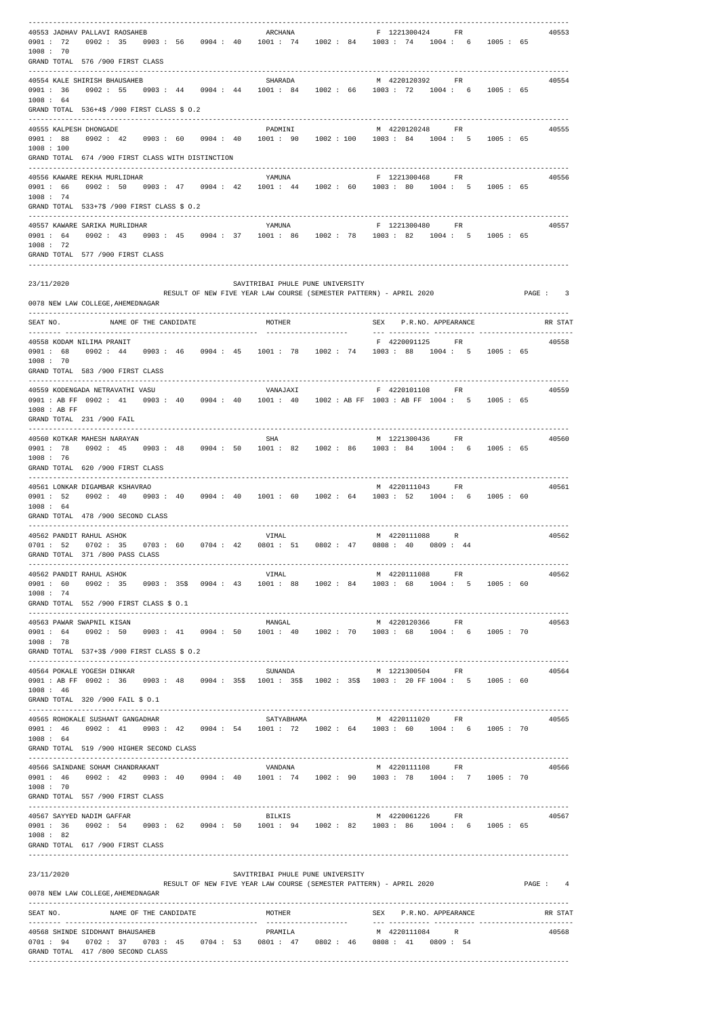| 40553 JADHAV PALLAVI RAOSAHEB<br>ARCHANA<br>F 1221300424 FR<br>40553<br>0901: 72 0902: 35 0903: 56 0904: 40 1001: 74 1002: 84 1003: 74 1004: 6 1005: 65<br>1008 : 70<br>GRAND TOTAL 576 /900 FIRST CLASS<br>40554 KALE SHIRISH BHAUSAHEB<br>SHARADA<br>M 4220120392 FR<br>40554<br>0901: 36 0902: 55 0903: 44 0904: 44 1001: 84 1002: 66 1003: 72 1004: 6 1005: 65<br>1008 : 64<br>GRAND TOTAL 536+4\$ /900 FIRST CLASS \$ 0.2<br>40555 KALPESH DHONGADE<br>PADMINI<br>M 4220120248 FR<br>40555<br>0901: 88 0902: 42 0903: 60 0904: 40 1001: 90 1002: 100 1003: 84 1004: 5 1005: 65<br>1008 : 100<br>GRAND TOTAL 674 /900 FIRST CLASS WITH DISTINCTION<br>F 1221300468 FR<br>40556 KAWARE REKHA MURLIDHAR<br>YAMUNA<br>40556<br>0902: 50 0903: 47 0904: 42 1001: 44 1002: 60 1003: 80 1004: 5 1005: 65<br>0901 : 66<br>1008 : 74<br>GRAND TOTAL 533+7\$ /900 FIRST CLASS \$ 0.2<br>F 1221300480 FR<br>40557 KAWARE SARIKA MURLIDHAR<br>YAMUNA<br>40557<br>0901: 64 0902: 43 0903: 45 0904: 37 1001: 86 1002: 78 1003: 82 1004: 5 1005: 65<br>1008 : 72<br>GRAND TOTAL 577 /900 FIRST CLASS<br>23/11/2020<br>SAVITRIBAI PHULE PUNE UNIVERSITY<br>RESULT OF NEW FIVE YEAR LAW COURSE (SEMESTER PATTERN) - APRIL 2020<br>PAGE : 3<br>0078 NEW LAW COLLEGE, AHEMEDNAGAR<br>SEAT NO. NAME OF THE CANDIDATE<br>SEX P.R.NO. APPEARANCE<br>MOTHER<br>RR STAT<br>40558 KODAM NILIMA PRANIT<br>F 4220091125 FR<br>40558<br>0901: 68 0902: 44 0903: 46 0904: 45 1001: 78 1002: 74 1003: 88 1004: 5 1005: 65<br>1008 : 70<br>GRAND TOTAL 583 /900 FIRST CLASS<br>F 4220101108 FR<br>40559<br>40559 KODENGADA NETRAVATHI VASU<br>VANAJAXI<br>0901 : AB FF 0902 : 41 0903 : 40 0904 : 40 1001 : 40 1002 : AB FF 1003 : AB FF 1004 : 5 1005 : 65<br>1008 : AB FF<br>GRAND TOTAL 231 /900 FAIL<br>40560 KOTKAR MAHESH NARAYAN<br>SHA<br>M 1221300436 FR<br>40560<br>0902: 45 0903: 48 0904: 50 1001: 82 1002: 86 1003: 84 1004: 6 1005: 65<br>0901 : 78<br>1008 : 76<br>GRAND TOTAL 620 /900 FIRST CLASS<br>40561 LONKAR DIGAMBAR KSHAVRAO<br>M 4220111043 FR<br>40561<br>0901 : 52  0902 : 40  0903 : 40  0904 : 40  1001 : 60  1002 : 64  1003 : 52  1004 : 6  1005 : 60<br>1008 : 64<br>GRAND TOTAL 478 /900 SECOND CLASS<br>40562 PANDIT RAHUL ASHOK<br>VIMAL<br>M 4220111088 R<br>40562<br>$0701:52$ $0702:35$ $0703:60$ $0704:42$ $0801:51$ $0802:47$ $0808:40$ $0809:44$<br>GRAND TOTAL 371 /800 PASS CLASS<br>40562 PANDIT RAHUL ASHOK<br>M 4220111088 FR<br>VIMAL<br>40562<br>0901: 60 0902: 35 0903: 35\$ 0904: 43 1001: 88 1002: 84 1003: 68 1004: 5 1005: 60<br>1008:74<br>GRAND TOTAL 552 /900 FIRST CLASS \$ 0.1<br>MANGAL<br>M 4220120366 FR<br>40563 PAWAR SWAPNIL KISAN<br>40563<br>0902: 50 0903: 41 0904: 50 1001: 40 1002: 70 1003: 68 1004: 6 1005: 70<br>0901 : 64<br>1008:78<br>GRAND TOTAL 537+3\$ /900 FIRST CLASS \$ 0.2<br>40564 POKALE YOGESH DINKAR<br>SUNANDA<br>M 1221300504 FR<br>40564<br>0901 : AB FF 0902 : 36 0903 : 48 0904 : 35\$ 1001 : 35\$ 1002 : 35\$ 1003 : 20 FF 1004 : 5 1005 : 60<br>1008 : 46<br>GRAND TOTAL 320 /900 FAIL \$ 0.1<br>40565 ROHOKALE SUSHANT GANGADHAR<br>40565<br>0901: 46 0902: 41 0903: 42 0904: 54 1001: 72 1002: 64 1003: 60 1004: 6 1005: 70<br>1008 : 64<br>GRAND TOTAL 519 /900 HIGHER SECOND CLASS<br>40566 SAINDANE SOHAM CHANDRAKANT<br>M 4220111108<br>40566<br>VANDANA<br>FR<br>0901: 46 0902: 42 0903: 40 0904: 40 1001: 74 1002: 90 1003: 78 1004: 7 1005: 70<br>1008 : 70<br>GRAND TOTAL 557 /900 FIRST CLASS<br>40567 SAYYED NADIM GAFFAR<br>BILKIS<br>M 4220061226 FR<br>40567<br>$0.902:$ 54 $0.903:$ 62 $0.904:$ 50 $1001:$ 94 $1002:$ 82 $1003:$ 86 $1004:$ 6 $1005:$ 65<br>0901 : 36<br>1008 : 82<br>GRAND TOTAL 617 /900 FIRST CLASS<br>23/11/2020<br>SAVITRIBAI PHULE PUNE UNIVERSITY<br>RESULT OF NEW FIVE YEAR LAW COURSE (SEMESTER PATTERN) - APRIL 2020<br>PAGE : 4<br>0078 NEW LAW COLLEGE, AHEMEDNAGAR<br>-----------------------------<br>SEAT NO.<br>NAME OF THE CANDIDATE<br>MOTHER<br>SEX P.R.NO. APPEARANCE<br>RR STAT<br>40568 SHINDE SIDDHANT BHAUSAHEB<br>PRAMILA<br>M 4220111084 R<br>40568<br>$0701:$ 94 $0702:$ 37 0703: 45 0704: 53 0801: 47 0802: 46 0808: 41 0809: 54<br>GRAND TOTAL 417 /800 SECOND CLASS |  |  |  |  |
|------------------------------------------------------------------------------------------------------------------------------------------------------------------------------------------------------------------------------------------------------------------------------------------------------------------------------------------------------------------------------------------------------------------------------------------------------------------------------------------------------------------------------------------------------------------------------------------------------------------------------------------------------------------------------------------------------------------------------------------------------------------------------------------------------------------------------------------------------------------------------------------------------------------------------------------------------------------------------------------------------------------------------------------------------------------------------------------------------------------------------------------------------------------------------------------------------------------------------------------------------------------------------------------------------------------------------------------------------------------------------------------------------------------------------------------------------------------------------------------------------------------------------------------------------------------------------------------------------------------------------------------------------------------------------------------------------------------------------------------------------------------------------------------------------------------------------------------------------------------------------------------------------------------------------------------------------------------------------------------------------------------------------------------------------------------------------------------------------------------------------------------------------------------------------------------------------------------------------------------------------------------------------------------------------------------------------------------------------------------------------------------------------------------------------------------------------------------------------------------------------------------------------------------------------------------------------------------------------------------------------------------------------------------------------------------------------------------------------------------------------------------------------------------------------------------------------------------------------------------------------------------------------------------------------------------------------------------------------------------------------------------------------------------------------------------------------------------------------------------------------------------------------------------------------------------------------------------------------------------------------------------------------------------------------------------------------------------------------------------------------------------------------------------------------------------------------------------------------------------------------------------------------------------------------------------------------------------------------------------------------------------------------------------------------------------------------------------------------------------------------------------------------------------------------------------------------------------------------------------------------------------------------------------------------------------------------------------------------------------------------------------------------------------------------------------------------------------------------------------------------------------------------------------------------------------------------|--|--|--|--|
|                                                                                                                                                                                                                                                                                                                                                                                                                                                                                                                                                                                                                                                                                                                                                                                                                                                                                                                                                                                                                                                                                                                                                                                                                                                                                                                                                                                                                                                                                                                                                                                                                                                                                                                                                                                                                                                                                                                                                                                                                                                                                                                                                                                                                                                                                                                                                                                                                                                                                                                                                                                                                                                                                                                                                                                                                                                                                                                                                                                                                                                                                                                                                                                                                                                                                                                                                                                                                                                                                                                                                                                                                                                                                                                                                                                                                                                                                                                                                                                                                                                                                                                                                                                                      |  |  |  |  |
|                                                                                                                                                                                                                                                                                                                                                                                                                                                                                                                                                                                                                                                                                                                                                                                                                                                                                                                                                                                                                                                                                                                                                                                                                                                                                                                                                                                                                                                                                                                                                                                                                                                                                                                                                                                                                                                                                                                                                                                                                                                                                                                                                                                                                                                                                                                                                                                                                                                                                                                                                                                                                                                                                                                                                                                                                                                                                                                                                                                                                                                                                                                                                                                                                                                                                                                                                                                                                                                                                                                                                                                                                                                                                                                                                                                                                                                                                                                                                                                                                                                                                                                                                                                                      |  |  |  |  |
|                                                                                                                                                                                                                                                                                                                                                                                                                                                                                                                                                                                                                                                                                                                                                                                                                                                                                                                                                                                                                                                                                                                                                                                                                                                                                                                                                                                                                                                                                                                                                                                                                                                                                                                                                                                                                                                                                                                                                                                                                                                                                                                                                                                                                                                                                                                                                                                                                                                                                                                                                                                                                                                                                                                                                                                                                                                                                                                                                                                                                                                                                                                                                                                                                                                                                                                                                                                                                                                                                                                                                                                                                                                                                                                                                                                                                                                                                                                                                                                                                                                                                                                                                                                                      |  |  |  |  |
|                                                                                                                                                                                                                                                                                                                                                                                                                                                                                                                                                                                                                                                                                                                                                                                                                                                                                                                                                                                                                                                                                                                                                                                                                                                                                                                                                                                                                                                                                                                                                                                                                                                                                                                                                                                                                                                                                                                                                                                                                                                                                                                                                                                                                                                                                                                                                                                                                                                                                                                                                                                                                                                                                                                                                                                                                                                                                                                                                                                                                                                                                                                                                                                                                                                                                                                                                                                                                                                                                                                                                                                                                                                                                                                                                                                                                                                                                                                                                                                                                                                                                                                                                                                                      |  |  |  |  |
|                                                                                                                                                                                                                                                                                                                                                                                                                                                                                                                                                                                                                                                                                                                                                                                                                                                                                                                                                                                                                                                                                                                                                                                                                                                                                                                                                                                                                                                                                                                                                                                                                                                                                                                                                                                                                                                                                                                                                                                                                                                                                                                                                                                                                                                                                                                                                                                                                                                                                                                                                                                                                                                                                                                                                                                                                                                                                                                                                                                                                                                                                                                                                                                                                                                                                                                                                                                                                                                                                                                                                                                                                                                                                                                                                                                                                                                                                                                                                                                                                                                                                                                                                                                                      |  |  |  |  |
|                                                                                                                                                                                                                                                                                                                                                                                                                                                                                                                                                                                                                                                                                                                                                                                                                                                                                                                                                                                                                                                                                                                                                                                                                                                                                                                                                                                                                                                                                                                                                                                                                                                                                                                                                                                                                                                                                                                                                                                                                                                                                                                                                                                                                                                                                                                                                                                                                                                                                                                                                                                                                                                                                                                                                                                                                                                                                                                                                                                                                                                                                                                                                                                                                                                                                                                                                                                                                                                                                                                                                                                                                                                                                                                                                                                                                                                                                                                                                                                                                                                                                                                                                                                                      |  |  |  |  |
|                                                                                                                                                                                                                                                                                                                                                                                                                                                                                                                                                                                                                                                                                                                                                                                                                                                                                                                                                                                                                                                                                                                                                                                                                                                                                                                                                                                                                                                                                                                                                                                                                                                                                                                                                                                                                                                                                                                                                                                                                                                                                                                                                                                                                                                                                                                                                                                                                                                                                                                                                                                                                                                                                                                                                                                                                                                                                                                                                                                                                                                                                                                                                                                                                                                                                                                                                                                                                                                                                                                                                                                                                                                                                                                                                                                                                                                                                                                                                                                                                                                                                                                                                                                                      |  |  |  |  |
|                                                                                                                                                                                                                                                                                                                                                                                                                                                                                                                                                                                                                                                                                                                                                                                                                                                                                                                                                                                                                                                                                                                                                                                                                                                                                                                                                                                                                                                                                                                                                                                                                                                                                                                                                                                                                                                                                                                                                                                                                                                                                                                                                                                                                                                                                                                                                                                                                                                                                                                                                                                                                                                                                                                                                                                                                                                                                                                                                                                                                                                                                                                                                                                                                                                                                                                                                                                                                                                                                                                                                                                                                                                                                                                                                                                                                                                                                                                                                                                                                                                                                                                                                                                                      |  |  |  |  |
|                                                                                                                                                                                                                                                                                                                                                                                                                                                                                                                                                                                                                                                                                                                                                                                                                                                                                                                                                                                                                                                                                                                                                                                                                                                                                                                                                                                                                                                                                                                                                                                                                                                                                                                                                                                                                                                                                                                                                                                                                                                                                                                                                                                                                                                                                                                                                                                                                                                                                                                                                                                                                                                                                                                                                                                                                                                                                                                                                                                                                                                                                                                                                                                                                                                                                                                                                                                                                                                                                                                                                                                                                                                                                                                                                                                                                                                                                                                                                                                                                                                                                                                                                                                                      |  |  |  |  |
|                                                                                                                                                                                                                                                                                                                                                                                                                                                                                                                                                                                                                                                                                                                                                                                                                                                                                                                                                                                                                                                                                                                                                                                                                                                                                                                                                                                                                                                                                                                                                                                                                                                                                                                                                                                                                                                                                                                                                                                                                                                                                                                                                                                                                                                                                                                                                                                                                                                                                                                                                                                                                                                                                                                                                                                                                                                                                                                                                                                                                                                                                                                                                                                                                                                                                                                                                                                                                                                                                                                                                                                                                                                                                                                                                                                                                                                                                                                                                                                                                                                                                                                                                                                                      |  |  |  |  |
|                                                                                                                                                                                                                                                                                                                                                                                                                                                                                                                                                                                                                                                                                                                                                                                                                                                                                                                                                                                                                                                                                                                                                                                                                                                                                                                                                                                                                                                                                                                                                                                                                                                                                                                                                                                                                                                                                                                                                                                                                                                                                                                                                                                                                                                                                                                                                                                                                                                                                                                                                                                                                                                                                                                                                                                                                                                                                                                                                                                                                                                                                                                                                                                                                                                                                                                                                                                                                                                                                                                                                                                                                                                                                                                                                                                                                                                                                                                                                                                                                                                                                                                                                                                                      |  |  |  |  |
|                                                                                                                                                                                                                                                                                                                                                                                                                                                                                                                                                                                                                                                                                                                                                                                                                                                                                                                                                                                                                                                                                                                                                                                                                                                                                                                                                                                                                                                                                                                                                                                                                                                                                                                                                                                                                                                                                                                                                                                                                                                                                                                                                                                                                                                                                                                                                                                                                                                                                                                                                                                                                                                                                                                                                                                                                                                                                                                                                                                                                                                                                                                                                                                                                                                                                                                                                                                                                                                                                                                                                                                                                                                                                                                                                                                                                                                                                                                                                                                                                                                                                                                                                                                                      |  |  |  |  |
|                                                                                                                                                                                                                                                                                                                                                                                                                                                                                                                                                                                                                                                                                                                                                                                                                                                                                                                                                                                                                                                                                                                                                                                                                                                                                                                                                                                                                                                                                                                                                                                                                                                                                                                                                                                                                                                                                                                                                                                                                                                                                                                                                                                                                                                                                                                                                                                                                                                                                                                                                                                                                                                                                                                                                                                                                                                                                                                                                                                                                                                                                                                                                                                                                                                                                                                                                                                                                                                                                                                                                                                                                                                                                                                                                                                                                                                                                                                                                                                                                                                                                                                                                                                                      |  |  |  |  |
|                                                                                                                                                                                                                                                                                                                                                                                                                                                                                                                                                                                                                                                                                                                                                                                                                                                                                                                                                                                                                                                                                                                                                                                                                                                                                                                                                                                                                                                                                                                                                                                                                                                                                                                                                                                                                                                                                                                                                                                                                                                                                                                                                                                                                                                                                                                                                                                                                                                                                                                                                                                                                                                                                                                                                                                                                                                                                                                                                                                                                                                                                                                                                                                                                                                                                                                                                                                                                                                                                                                                                                                                                                                                                                                                                                                                                                                                                                                                                                                                                                                                                                                                                                                                      |  |  |  |  |
|                                                                                                                                                                                                                                                                                                                                                                                                                                                                                                                                                                                                                                                                                                                                                                                                                                                                                                                                                                                                                                                                                                                                                                                                                                                                                                                                                                                                                                                                                                                                                                                                                                                                                                                                                                                                                                                                                                                                                                                                                                                                                                                                                                                                                                                                                                                                                                                                                                                                                                                                                                                                                                                                                                                                                                                                                                                                                                                                                                                                                                                                                                                                                                                                                                                                                                                                                                                                                                                                                                                                                                                                                                                                                                                                                                                                                                                                                                                                                                                                                                                                                                                                                                                                      |  |  |  |  |
|                                                                                                                                                                                                                                                                                                                                                                                                                                                                                                                                                                                                                                                                                                                                                                                                                                                                                                                                                                                                                                                                                                                                                                                                                                                                                                                                                                                                                                                                                                                                                                                                                                                                                                                                                                                                                                                                                                                                                                                                                                                                                                                                                                                                                                                                                                                                                                                                                                                                                                                                                                                                                                                                                                                                                                                                                                                                                                                                                                                                                                                                                                                                                                                                                                                                                                                                                                                                                                                                                                                                                                                                                                                                                                                                                                                                                                                                                                                                                                                                                                                                                                                                                                                                      |  |  |  |  |
|                                                                                                                                                                                                                                                                                                                                                                                                                                                                                                                                                                                                                                                                                                                                                                                                                                                                                                                                                                                                                                                                                                                                                                                                                                                                                                                                                                                                                                                                                                                                                                                                                                                                                                                                                                                                                                                                                                                                                                                                                                                                                                                                                                                                                                                                                                                                                                                                                                                                                                                                                                                                                                                                                                                                                                                                                                                                                                                                                                                                                                                                                                                                                                                                                                                                                                                                                                                                                                                                                                                                                                                                                                                                                                                                                                                                                                                                                                                                                                                                                                                                                                                                                                                                      |  |  |  |  |
|                                                                                                                                                                                                                                                                                                                                                                                                                                                                                                                                                                                                                                                                                                                                                                                                                                                                                                                                                                                                                                                                                                                                                                                                                                                                                                                                                                                                                                                                                                                                                                                                                                                                                                                                                                                                                                                                                                                                                                                                                                                                                                                                                                                                                                                                                                                                                                                                                                                                                                                                                                                                                                                                                                                                                                                                                                                                                                                                                                                                                                                                                                                                                                                                                                                                                                                                                                                                                                                                                                                                                                                                                                                                                                                                                                                                                                                                                                                                                                                                                                                                                                                                                                                                      |  |  |  |  |
|                                                                                                                                                                                                                                                                                                                                                                                                                                                                                                                                                                                                                                                                                                                                                                                                                                                                                                                                                                                                                                                                                                                                                                                                                                                                                                                                                                                                                                                                                                                                                                                                                                                                                                                                                                                                                                                                                                                                                                                                                                                                                                                                                                                                                                                                                                                                                                                                                                                                                                                                                                                                                                                                                                                                                                                                                                                                                                                                                                                                                                                                                                                                                                                                                                                                                                                                                                                                                                                                                                                                                                                                                                                                                                                                                                                                                                                                                                                                                                                                                                                                                                                                                                                                      |  |  |  |  |
|                                                                                                                                                                                                                                                                                                                                                                                                                                                                                                                                                                                                                                                                                                                                                                                                                                                                                                                                                                                                                                                                                                                                                                                                                                                                                                                                                                                                                                                                                                                                                                                                                                                                                                                                                                                                                                                                                                                                                                                                                                                                                                                                                                                                                                                                                                                                                                                                                                                                                                                                                                                                                                                                                                                                                                                                                                                                                                                                                                                                                                                                                                                                                                                                                                                                                                                                                                                                                                                                                                                                                                                                                                                                                                                                                                                                                                                                                                                                                                                                                                                                                                                                                                                                      |  |  |  |  |
|                                                                                                                                                                                                                                                                                                                                                                                                                                                                                                                                                                                                                                                                                                                                                                                                                                                                                                                                                                                                                                                                                                                                                                                                                                                                                                                                                                                                                                                                                                                                                                                                                                                                                                                                                                                                                                                                                                                                                                                                                                                                                                                                                                                                                                                                                                                                                                                                                                                                                                                                                                                                                                                                                                                                                                                                                                                                                                                                                                                                                                                                                                                                                                                                                                                                                                                                                                                                                                                                                                                                                                                                                                                                                                                                                                                                                                                                                                                                                                                                                                                                                                                                                                                                      |  |  |  |  |
|                                                                                                                                                                                                                                                                                                                                                                                                                                                                                                                                                                                                                                                                                                                                                                                                                                                                                                                                                                                                                                                                                                                                                                                                                                                                                                                                                                                                                                                                                                                                                                                                                                                                                                                                                                                                                                                                                                                                                                                                                                                                                                                                                                                                                                                                                                                                                                                                                                                                                                                                                                                                                                                                                                                                                                                                                                                                                                                                                                                                                                                                                                                                                                                                                                                                                                                                                                                                                                                                                                                                                                                                                                                                                                                                                                                                                                                                                                                                                                                                                                                                                                                                                                                                      |  |  |  |  |
|                                                                                                                                                                                                                                                                                                                                                                                                                                                                                                                                                                                                                                                                                                                                                                                                                                                                                                                                                                                                                                                                                                                                                                                                                                                                                                                                                                                                                                                                                                                                                                                                                                                                                                                                                                                                                                                                                                                                                                                                                                                                                                                                                                                                                                                                                                                                                                                                                                                                                                                                                                                                                                                                                                                                                                                                                                                                                                                                                                                                                                                                                                                                                                                                                                                                                                                                                                                                                                                                                                                                                                                                                                                                                                                                                                                                                                                                                                                                                                                                                                                                                                                                                                                                      |  |  |  |  |
|                                                                                                                                                                                                                                                                                                                                                                                                                                                                                                                                                                                                                                                                                                                                                                                                                                                                                                                                                                                                                                                                                                                                                                                                                                                                                                                                                                                                                                                                                                                                                                                                                                                                                                                                                                                                                                                                                                                                                                                                                                                                                                                                                                                                                                                                                                                                                                                                                                                                                                                                                                                                                                                                                                                                                                                                                                                                                                                                                                                                                                                                                                                                                                                                                                                                                                                                                                                                                                                                                                                                                                                                                                                                                                                                                                                                                                                                                                                                                                                                                                                                                                                                                                                                      |  |  |  |  |
|                                                                                                                                                                                                                                                                                                                                                                                                                                                                                                                                                                                                                                                                                                                                                                                                                                                                                                                                                                                                                                                                                                                                                                                                                                                                                                                                                                                                                                                                                                                                                                                                                                                                                                                                                                                                                                                                                                                                                                                                                                                                                                                                                                                                                                                                                                                                                                                                                                                                                                                                                                                                                                                                                                                                                                                                                                                                                                                                                                                                                                                                                                                                                                                                                                                                                                                                                                                                                                                                                                                                                                                                                                                                                                                                                                                                                                                                                                                                                                                                                                                                                                                                                                                                      |  |  |  |  |
|                                                                                                                                                                                                                                                                                                                                                                                                                                                                                                                                                                                                                                                                                                                                                                                                                                                                                                                                                                                                                                                                                                                                                                                                                                                                                                                                                                                                                                                                                                                                                                                                                                                                                                                                                                                                                                                                                                                                                                                                                                                                                                                                                                                                                                                                                                                                                                                                                                                                                                                                                                                                                                                                                                                                                                                                                                                                                                                                                                                                                                                                                                                                                                                                                                                                                                                                                                                                                                                                                                                                                                                                                                                                                                                                                                                                                                                                                                                                                                                                                                                                                                                                                                                                      |  |  |  |  |
|                                                                                                                                                                                                                                                                                                                                                                                                                                                                                                                                                                                                                                                                                                                                                                                                                                                                                                                                                                                                                                                                                                                                                                                                                                                                                                                                                                                                                                                                                                                                                                                                                                                                                                                                                                                                                                                                                                                                                                                                                                                                                                                                                                                                                                                                                                                                                                                                                                                                                                                                                                                                                                                                                                                                                                                                                                                                                                                                                                                                                                                                                                                                                                                                                                                                                                                                                                                                                                                                                                                                                                                                                                                                                                                                                                                                                                                                                                                                                                                                                                                                                                                                                                                                      |  |  |  |  |
|                                                                                                                                                                                                                                                                                                                                                                                                                                                                                                                                                                                                                                                                                                                                                                                                                                                                                                                                                                                                                                                                                                                                                                                                                                                                                                                                                                                                                                                                                                                                                                                                                                                                                                                                                                                                                                                                                                                                                                                                                                                                                                                                                                                                                                                                                                                                                                                                                                                                                                                                                                                                                                                                                                                                                                                                                                                                                                                                                                                                                                                                                                                                                                                                                                                                                                                                                                                                                                                                                                                                                                                                                                                                                                                                                                                                                                                                                                                                                                                                                                                                                                                                                                                                      |  |  |  |  |
|                                                                                                                                                                                                                                                                                                                                                                                                                                                                                                                                                                                                                                                                                                                                                                                                                                                                                                                                                                                                                                                                                                                                                                                                                                                                                                                                                                                                                                                                                                                                                                                                                                                                                                                                                                                                                                                                                                                                                                                                                                                                                                                                                                                                                                                                                                                                                                                                                                                                                                                                                                                                                                                                                                                                                                                                                                                                                                                                                                                                                                                                                                                                                                                                                                                                                                                                                                                                                                                                                                                                                                                                                                                                                                                                                                                                                                                                                                                                                                                                                                                                                                                                                                                                      |  |  |  |  |
|                                                                                                                                                                                                                                                                                                                                                                                                                                                                                                                                                                                                                                                                                                                                                                                                                                                                                                                                                                                                                                                                                                                                                                                                                                                                                                                                                                                                                                                                                                                                                                                                                                                                                                                                                                                                                                                                                                                                                                                                                                                                                                                                                                                                                                                                                                                                                                                                                                                                                                                                                                                                                                                                                                                                                                                                                                                                                                                                                                                                                                                                                                                                                                                                                                                                                                                                                                                                                                                                                                                                                                                                                                                                                                                                                                                                                                                                                                                                                                                                                                                                                                                                                                                                      |  |  |  |  |
|                                                                                                                                                                                                                                                                                                                                                                                                                                                                                                                                                                                                                                                                                                                                                                                                                                                                                                                                                                                                                                                                                                                                                                                                                                                                                                                                                                                                                                                                                                                                                                                                                                                                                                                                                                                                                                                                                                                                                                                                                                                                                                                                                                                                                                                                                                                                                                                                                                                                                                                                                                                                                                                                                                                                                                                                                                                                                                                                                                                                                                                                                                                                                                                                                                                                                                                                                                                                                                                                                                                                                                                                                                                                                                                                                                                                                                                                                                                                                                                                                                                                                                                                                                                                      |  |  |  |  |
|                                                                                                                                                                                                                                                                                                                                                                                                                                                                                                                                                                                                                                                                                                                                                                                                                                                                                                                                                                                                                                                                                                                                                                                                                                                                                                                                                                                                                                                                                                                                                                                                                                                                                                                                                                                                                                                                                                                                                                                                                                                                                                                                                                                                                                                                                                                                                                                                                                                                                                                                                                                                                                                                                                                                                                                                                                                                                                                                                                                                                                                                                                                                                                                                                                                                                                                                                                                                                                                                                                                                                                                                                                                                                                                                                                                                                                                                                                                                                                                                                                                                                                                                                                                                      |  |  |  |  |
|                                                                                                                                                                                                                                                                                                                                                                                                                                                                                                                                                                                                                                                                                                                                                                                                                                                                                                                                                                                                                                                                                                                                                                                                                                                                                                                                                                                                                                                                                                                                                                                                                                                                                                                                                                                                                                                                                                                                                                                                                                                                                                                                                                                                                                                                                                                                                                                                                                                                                                                                                                                                                                                                                                                                                                                                                                                                                                                                                                                                                                                                                                                                                                                                                                                                                                                                                                                                                                                                                                                                                                                                                                                                                                                                                                                                                                                                                                                                                                                                                                                                                                                                                                                                      |  |  |  |  |
|                                                                                                                                                                                                                                                                                                                                                                                                                                                                                                                                                                                                                                                                                                                                                                                                                                                                                                                                                                                                                                                                                                                                                                                                                                                                                                                                                                                                                                                                                                                                                                                                                                                                                                                                                                                                                                                                                                                                                                                                                                                                                                                                                                                                                                                                                                                                                                                                                                                                                                                                                                                                                                                                                                                                                                                                                                                                                                                                                                                                                                                                                                                                                                                                                                                                                                                                                                                                                                                                                                                                                                                                                                                                                                                                                                                                                                                                                                                                                                                                                                                                                                                                                                                                      |  |  |  |  |
|                                                                                                                                                                                                                                                                                                                                                                                                                                                                                                                                                                                                                                                                                                                                                                                                                                                                                                                                                                                                                                                                                                                                                                                                                                                                                                                                                                                                                                                                                                                                                                                                                                                                                                                                                                                                                                                                                                                                                                                                                                                                                                                                                                                                                                                                                                                                                                                                                                                                                                                                                                                                                                                                                                                                                                                                                                                                                                                                                                                                                                                                                                                                                                                                                                                                                                                                                                                                                                                                                                                                                                                                                                                                                                                                                                                                                                                                                                                                                                                                                                                                                                                                                                                                      |  |  |  |  |
|                                                                                                                                                                                                                                                                                                                                                                                                                                                                                                                                                                                                                                                                                                                                                                                                                                                                                                                                                                                                                                                                                                                                                                                                                                                                                                                                                                                                                                                                                                                                                                                                                                                                                                                                                                                                                                                                                                                                                                                                                                                                                                                                                                                                                                                                                                                                                                                                                                                                                                                                                                                                                                                                                                                                                                                                                                                                                                                                                                                                                                                                                                                                                                                                                                                                                                                                                                                                                                                                                                                                                                                                                                                                                                                                                                                                                                                                                                                                                                                                                                                                                                                                                                                                      |  |  |  |  |
|                                                                                                                                                                                                                                                                                                                                                                                                                                                                                                                                                                                                                                                                                                                                                                                                                                                                                                                                                                                                                                                                                                                                                                                                                                                                                                                                                                                                                                                                                                                                                                                                                                                                                                                                                                                                                                                                                                                                                                                                                                                                                                                                                                                                                                                                                                                                                                                                                                                                                                                                                                                                                                                                                                                                                                                                                                                                                                                                                                                                                                                                                                                                                                                                                                                                                                                                                                                                                                                                                                                                                                                                                                                                                                                                                                                                                                                                                                                                                                                                                                                                                                                                                                                                      |  |  |  |  |
|                                                                                                                                                                                                                                                                                                                                                                                                                                                                                                                                                                                                                                                                                                                                                                                                                                                                                                                                                                                                                                                                                                                                                                                                                                                                                                                                                                                                                                                                                                                                                                                                                                                                                                                                                                                                                                                                                                                                                                                                                                                                                                                                                                                                                                                                                                                                                                                                                                                                                                                                                                                                                                                                                                                                                                                                                                                                                                                                                                                                                                                                                                                                                                                                                                                                                                                                                                                                                                                                                                                                                                                                                                                                                                                                                                                                                                                                                                                                                                                                                                                                                                                                                                                                      |  |  |  |  |
|                                                                                                                                                                                                                                                                                                                                                                                                                                                                                                                                                                                                                                                                                                                                                                                                                                                                                                                                                                                                                                                                                                                                                                                                                                                                                                                                                                                                                                                                                                                                                                                                                                                                                                                                                                                                                                                                                                                                                                                                                                                                                                                                                                                                                                                                                                                                                                                                                                                                                                                                                                                                                                                                                                                                                                                                                                                                                                                                                                                                                                                                                                                                                                                                                                                                                                                                                                                                                                                                                                                                                                                                                                                                                                                                                                                                                                                                                                                                                                                                                                                                                                                                                                                                      |  |  |  |  |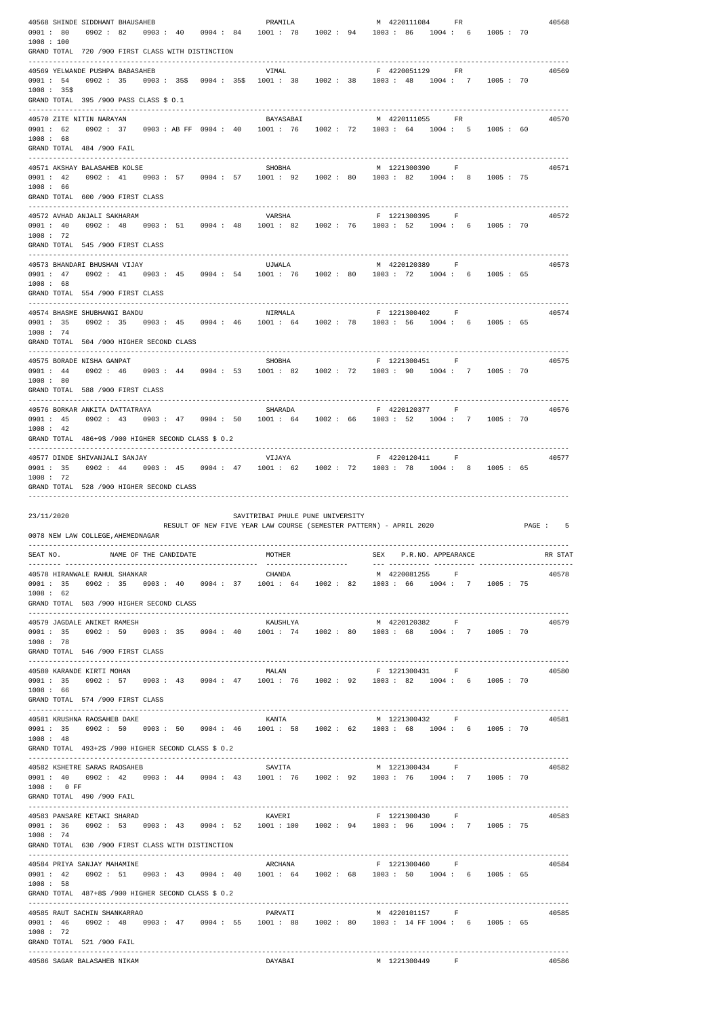|                        | 40568 SHINDE SIDDHANT BHAUSAHEB                                |  | PRAMILA                                                              |  | M 4220111084                                                                                                | $_{\rm FR}$      |  | 40568    |
|------------------------|----------------------------------------------------------------|--|----------------------------------------------------------------------|--|-------------------------------------------------------------------------------------------------------------|------------------|--|----------|
| 0901 : 80              | 0902 : 82                                                      |  | $0.903:40$ $0.904:84$ $1001:78$ $1002:94$ $1003:86$                  |  |                                                                                                             | 1004:6 1005:70   |  |          |
| 1008 : 100             |                                                                |  |                                                                      |  |                                                                                                             |                  |  |          |
|                        | GRAND TOTAL 720 /900 FIRST CLASS WITH DISTINCTION              |  |                                                                      |  |                                                                                                             |                  |  |          |
|                        | 40569 YELWANDE PUSHPA BABASAHEB                                |  | VIMAL                                                                |  | F 4220051129 FR                                                                                             |                  |  | 40569    |
|                        |                                                                |  |                                                                      |  | 0901: 54 0902: 35 0903: 35\$ 0904: 35\$ 1001: 38 1002: 38 1003: 48 1004: 7 1005: 70                         |                  |  |          |
| $1008 : 35\$           |                                                                |  |                                                                      |  |                                                                                                             |                  |  |          |
|                        | GRAND TOTAL 395 /900 PASS CLASS \$ 0.1                         |  |                                                                      |  |                                                                                                             |                  |  |          |
|                        | 40570 ZITE NITIN NARAYAN                                       |  | BAYASABAI                                                            |  | M 4220111055                                                                                                | FR               |  | 40570    |
|                        |                                                                |  |                                                                      |  | 0901: 62 0902: 37 0903: AB FF 0904: 40 1001: 76 1002: 72 1003: 64 1004: 5 1005: 60                          |                  |  |          |
| 1008 : 68              |                                                                |  |                                                                      |  |                                                                                                             |                  |  |          |
|                        | GRAND TOTAL 484 /900 FAIL                                      |  |                                                                      |  |                                                                                                             |                  |  |          |
|                        |                                                                |  |                                                                      |  |                                                                                                             |                  |  |          |
| 0901 : 42              | 40571 AKSHAY BALASAHEB KOLSE                                   |  | SHOBHA                                                               |  | M 1221300390 F<br>0902: 41 0903: 57 0904: 57 1001: 92 1002: 80 1003: 82 1004: 8 1005: 75                    |                  |  | 40571    |
| 1008 : 66              |                                                                |  |                                                                      |  |                                                                                                             |                  |  |          |
|                        | GRAND TOTAL 600 /900 FIRST CLASS                               |  |                                                                      |  |                                                                                                             |                  |  |          |
|                        |                                                                |  |                                                                      |  |                                                                                                             |                  |  |          |
| 0901 : 40              | 40572 AVHAD ANJALI SAKHARAM                                    |  | VARSHA                                                               |  | F 1221300395 F<br>$0.902: 48$ $0.903: 51$ $0.904: 48$ $1001: 82$ $1002: 76$ $1003: 52$ $1004: 6$ $1005: 70$ |                  |  | 40572    |
| 1008 : 72              |                                                                |  |                                                                      |  |                                                                                                             |                  |  |          |
|                        | GRAND TOTAL 545 /900 FIRST CLASS                               |  |                                                                      |  |                                                                                                             |                  |  |          |
|                        |                                                                |  |                                                                      |  |                                                                                                             |                  |  |          |
|                        | 40573 BHANDARI BHUSHAN VIJAY                                   |  | UJWALA                                                               |  | M 4220120389 F<br>0901 : 47 0902 : 41 0903 : 45 0904 : 54 1001 : 76 1002 : 80 1003 : 72 1004 : 6 1005 : 65  |                  |  | 40573    |
| 1008 : 68              |                                                                |  |                                                                      |  |                                                                                                             |                  |  |          |
|                        | GRAND TOTAL 554 /900 FIRST CLASS                               |  |                                                                      |  |                                                                                                             |                  |  |          |
|                        |                                                                |  |                                                                      |  |                                                                                                             |                  |  |          |
|                        | 40574 BHASME SHUBHANGI BANDU                                   |  | NIRMALA                                                              |  | F 1221300402 F                                                                                              |                  |  | 40574    |
| 1008 : 74              |                                                                |  |                                                                      |  | 0901 : 35 0902 : 35 0903 : 45 0904 : 46 1001 : 64 1002 : 78 1003 : 56 1004 : 6 1005 : 65                    |                  |  |          |
|                        | GRAND TOTAL 504 /900 HIGHER SECOND CLASS                       |  |                                                                      |  |                                                                                                             |                  |  |          |
|                        |                                                                |  |                                                                      |  |                                                                                                             |                  |  |          |
|                        | 40575 BORADE NISHA GANPAT                                      |  | SHOBHA                                                               |  | F 1221300451                                                                                                | $\mathbf{F}$     |  | 40575    |
| 0901 : 44              |                                                                |  |                                                                      |  | 0902: 46 0903: 44 0904: 53 1001: 82 1002: 72 1003: 90 1004: 7 1005: 70                                      |                  |  |          |
| 1008 : 80              | GRAND TOTAL 588 /900 FIRST CLASS                               |  |                                                                      |  |                                                                                                             |                  |  |          |
|                        |                                                                |  |                                                                      |  |                                                                                                             |                  |  |          |
|                        | 40576 BORKAR ANKITA DATTATRAYA                                 |  | SHARADA                                                              |  | F 4220120377 F                                                                                              |                  |  | 40576    |
| 0901 : 45<br>1008 : 42 |                                                                |  |                                                                      |  | 0902: 43 0903: 47 0904: 50 1001: 64 1002: 66 1003: 52 1004: 7 1005: 70                                      |                  |  |          |
|                        | GRAND TOTAL 486+9\$ /900 HIGHER SECOND CLASS \$ 0.2            |  |                                                                      |  |                                                                                                             |                  |  |          |
|                        |                                                                |  |                                                                      |  |                                                                                                             |                  |  |          |
|                        | 40577 DINDE SHIVANJALI SANJAY                                  |  | VIJAYA                                                               |  | F 4220120411                                                                                                | – F              |  | 40577    |
| 0901 : 35              |                                                                |  | $0.902: 44$ $0.903: 45$ $0.904: 47$ $1001: 62$ $1002: 72$ $1003: 78$ |  |                                                                                                             | 1004: 8 1005: 65 |  |          |
| 1008 : 72              | GRAND TOTAL 528 /900 HIGHER SECOND CLASS                       |  |                                                                      |  |                                                                                                             |                  |  |          |
|                        |                                                                |  |                                                                      |  |                                                                                                             |                  |  |          |
|                        |                                                                |  |                                                                      |  |                                                                                                             |                  |  |          |
|                        |                                                                |  |                                                                      |  |                                                                                                             |                  |  |          |
| 23/11/2020             |                                                                |  | SAVITRIBAI PHULE PUNE UNIVERSITY                                     |  |                                                                                                             |                  |  |          |
|                        | 0078 NEW LAW COLLEGE, AHEMEDNAGAR                              |  |                                                                      |  | RESULT OF NEW FIVE YEAR LAW COURSE (SEMESTER PATTERN) - APRIL 2020                                          |                  |  | PAGE : 5 |
|                        |                                                                |  |                                                                      |  |                                                                                                             |                  |  |          |
|                        | SEAT NO. NAME OF THE CANDIDATE                                 |  | MOTHER                                                               |  | SEX P.R.NO. APPEARANCE                                                                                      |                  |  |          |
|                        |                                                                |  |                                                                      |  |                                                                                                             |                  |  |          |
|                        | 40578 HIRANWALE RAHUL SHANKAR                                  |  | CHANDA                                                               |  | M 4220081255 F<br>0901: 35 0902: 35 0903: 40 0904: 37 1001: 64 1002: 82 1003: 66 1004: 7 1005: 75           |                  |  | 40578    |
| 1008 : 62              |                                                                |  |                                                                      |  |                                                                                                             |                  |  |          |
|                        | GRAND TOTAL 503 /900 HIGHER SECOND CLASS                       |  |                                                                      |  |                                                                                                             |                  |  |          |
|                        |                                                                |  |                                                                      |  |                                                                                                             |                  |  |          |
| 0901 : 35              | 40579 JAGDALE ANIKET RAMESH                                    |  | KAUSHLYA                                                             |  | M 4220120382                                                                                                | $\mathbf{F}$     |  | 40579    |
| 1008 : 78              |                                                                |  |                                                                      |  | $0.902: 59$ $0.903: 35$ $0.904: 40$ $1001: 74$ $1002: 80$ $1003: 68$ $1004: 7$ $1005: 70$                   |                  |  |          |
|                        | GRAND TOTAL 546 /900 FIRST CLASS                               |  |                                                                      |  |                                                                                                             |                  |  |          |
|                        |                                                                |  |                                                                      |  |                                                                                                             |                  |  |          |
|                        | 40580 KARANDE KIRTI MOHAN                                      |  | MALAN                                                                |  | F 1221300431 F                                                                                              |                  |  | 40580    |
| 0901 : 35<br>1008 : 66 |                                                                |  |                                                                      |  | $0.902:$ 57 $0.903:$ 43 $0.904:$ 47 1001: 76 1002: 92 1003: 82 1004: 6 1005: 70                             |                  |  |          |
|                        | GRAND TOTAL 574 /900 FIRST CLASS                               |  |                                                                      |  |                                                                                                             |                  |  |          |
|                        |                                                                |  |                                                                      |  |                                                                                                             |                  |  |          |
|                        | 40581 KRUSHNA RAOSAHEB DAKE                                    |  | KANTA                                                                |  | M 1221300432 F                                                                                              |                  |  | 40581    |
| 1008 : 48              |                                                                |  |                                                                      |  | 0901: 35 0902: 50 0903: 50 0904: 46 1001: 58 1002: 62 1003: 68 1004: 6 1005: 70                             |                  |  |          |
|                        | GRAND TOTAL $493+2\frac{1}{9}$ /900 HIGHER SECOND CLASS \$ 0.2 |  |                                                                      |  |                                                                                                             |                  |  |          |
|                        |                                                                |  | __________________________                                           |  |                                                                                                             |                  |  |          |
|                        | 40582 KSHETRE SARAS RAOSAHEB                                   |  | SAVITA                                                               |  | M 1221300434                                                                                                | F                |  | 40582    |
| $1008:0$ FF            |                                                                |  |                                                                      |  | 0901: 40 0902: 42 0903: 44 0904: 43 1001: 76 1002: 92 1003: 76 1004: 7 1005: 70                             |                  |  |          |
|                        | GRAND TOTAL 490 /900 FAIL                                      |  |                                                                      |  |                                                                                                             |                  |  |          |
|                        |                                                                |  |                                                                      |  |                                                                                                             |                  |  |          |
|                        | 40583 PANSARE KETAKI SHARAD                                    |  | KAVERI                                                               |  | F 1221300430 F                                                                                              |                  |  | 40583    |
|                        |                                                                |  |                                                                      |  | 0901: 36 0902: 53 0903: 43 0904: 52 1001: 100 1002: 94 1003: 96 1004: 7 1005: 75                            |                  |  |          |
| 1008 : 74              | GRAND TOTAL 630 /900 FIRST CLASS WITH DISTINCTION              |  |                                                                      |  |                                                                                                             |                  |  |          |
|                        |                                                                |  |                                                                      |  |                                                                                                             |                  |  |          |
|                        | 40584 PRIYA SANJAY MAHAMINE                                    |  | ARCHANA                                                              |  | F 1221300460 F                                                                                              |                  |  | 40584    |
| 0901 : 42              |                                                                |  |                                                                      |  | $0.902:$ 51 $0.903:$ 43 $0.904:$ 40 1001: 64 1002: 68 1003: 50 1004: 6 1005: 65                             |                  |  |          |
| 1008 : 58              | GRAND TOTAL $487+85$ /900 HIGHER SECOND CLASS \$ 0.2           |  |                                                                      |  |                                                                                                             |                  |  |          |
|                        |                                                                |  |                                                                      |  |                                                                                                             |                  |  |          |
|                        | 40585 RAUT SACHIN SHANKARRAO                                   |  | PARVATI                                                              |  | M 4220101157 F                                                                                              |                  |  | 40585    |
|                        |                                                                |  |                                                                      |  | 0901: 46 0902: 48 0903: 47 0904: 55 1001: 88 1002: 80 1003: 14 FF 1004: 6 1005: 65                          |                  |  |          |
| 1008 : 72              | GRAND TOTAL 521 /900 FAIL                                      |  |                                                                      |  |                                                                                                             |                  |  |          |
|                        |                                                                |  |                                                                      |  |                                                                                                             |                  |  | RR STAT  |